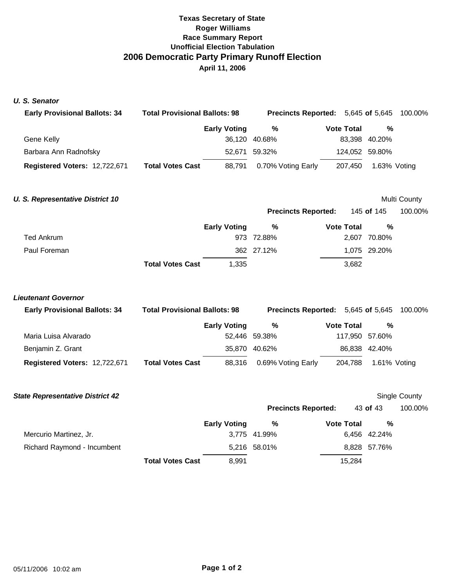# **Texas Secretary of State Roger Williams Race Summary Report Unofficial Election Tabulation 2006 Democratic Party Primary Runoff Election April 11, 2006**

### *U. S. Senator*

| <b>Early Provisional Ballots: 34</b> | <b>Total Provisional Ballots: 98</b> |                     |                    | <b>Precincts Reported:</b> 5,645 of 5,645 100.00% |                |  |
|--------------------------------------|--------------------------------------|---------------------|--------------------|---------------------------------------------------|----------------|--|
|                                      |                                      | <b>Early Voting</b> | %                  | <b>Vote Total</b>                                 | %              |  |
| Gene Kelly                           |                                      |                     | 36,120 40.68%      |                                                   | 83,398 40.20%  |  |
| Barbara Ann Radnofsky                |                                      |                     | 52.671 59.32%      |                                                   | 124,052 59.80% |  |
| Registered Voters: 12,722,671        | <b>Total Votes Cast</b>              | 88.791              | 0.70% Voting Early | 207.450                                           | 1.63% Voting   |  |

## **U. S. Representative District 10** Multi County

|              |                         |                     |            |                   | <b>Precincts Reported:</b> 145 of 145 |  |
|--------------|-------------------------|---------------------|------------|-------------------|---------------------------------------|--|
|              |                         | <b>Early Voting</b> | %          | <b>Vote Total</b> | %                                     |  |
| Ted Ankrum   |                         |                     | 973 72.88% |                   | 2,607 70.80%                          |  |
| Paul Foreman |                         |                     | 362 27.12% |                   | 1,075 29.20%                          |  |
|              | <b>Total Votes Cast</b> | 1,335               |            | 3,682             |                                       |  |

## *Lieutenant Governor*

| <b>Early Provisional Ballots: 34</b> | <b>Total Provisional Ballots: 98</b> | <b>Precincts Reported:</b> 5,645 of 5,645 100.00% |                    |  |                   |                |  |
|--------------------------------------|--------------------------------------|---------------------------------------------------|--------------------|--|-------------------|----------------|--|
|                                      |                                      | <b>Early Voting</b>                               | %                  |  | <b>Vote Total</b> | %              |  |
| Maria Luisa Alvarado                 |                                      |                                                   | 52.446 59.38%      |  |                   | 117,950 57.60% |  |
| Benjamin Z. Grant                    |                                      |                                                   | 35,870 40.62%      |  |                   | 86,838 42.40%  |  |
| Registered Voters: 12,722,671        | <b>Total Votes Cast</b>              | 88,316                                            | 0.69% Voting Early |  | 204,788           | 1.61% Voting   |  |

| <b>State Representative District 42</b> |                         |                     |                            |                   |              | Single County |
|-----------------------------------------|-------------------------|---------------------|----------------------------|-------------------|--------------|---------------|
|                                         |                         |                     | <b>Precincts Reported:</b> |                   | 43 of 43     | 100.00%       |
|                                         |                         | <b>Early Voting</b> | %                          | <b>Vote Total</b> | %            |               |
| Mercurio Martinez, Jr.                  |                         |                     | 3.775 41.99%               |                   | 6,456 42.24% |               |
| Richard Raymond - Incumbent             |                         |                     | 5,216 58.01%               |                   | 8,828 57.76% |               |
|                                         | <b>Total Votes Cast</b> | 8,991               |                            | 15.284            |              |               |